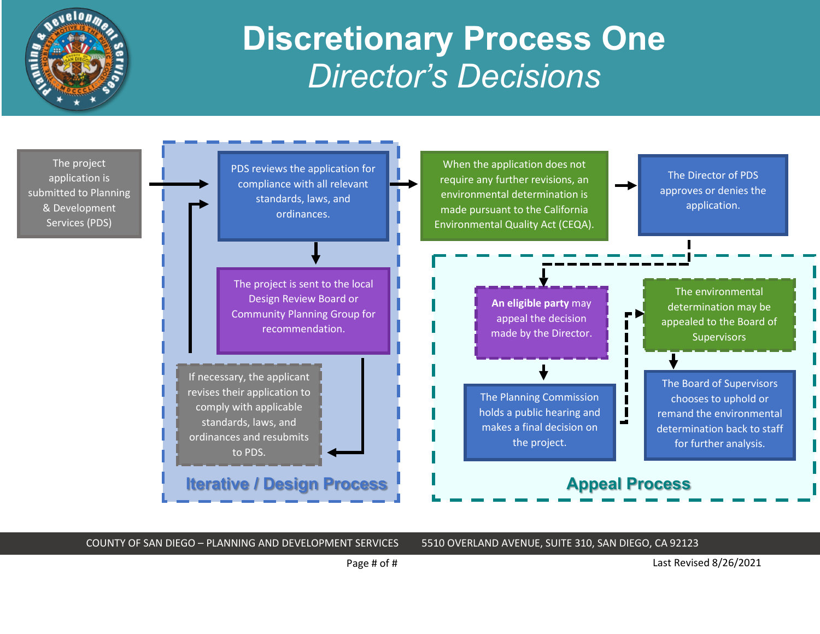

## **Discretionary Process One** *Director's Decisions*



COUNTY OF SAN DIEGO – PLANNING AND DEVELOPMENT SERVICES 5510 OVERLAND AVENUE, SUITE 310, SAN DIEGO, CA 92123

Page # of #  $\qquad \qquad$  Last Revised 8/26/2021